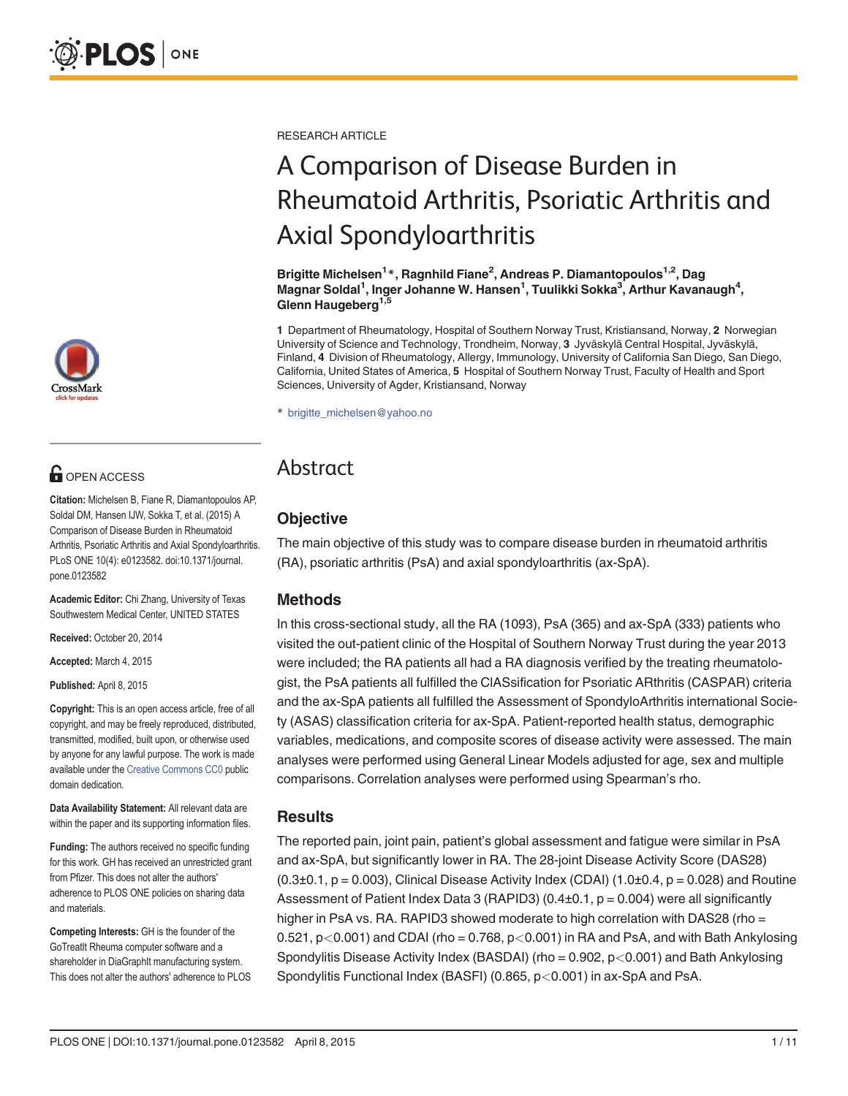rossMark

# **OPEN ACCESS**

Citation: Michelsen B, Fiane R, Diamantopoulos AP, Soldal DM, Hansen IJW, Sokka T, et al. (2015) A Comparison of Disease Burden in Rheumatoid Arthritis, Psoriatic Arthritis and Axial Spondyloarthritis. PLoS ONE 10(4): e0123582. doi:10.1371/journal. pone.0123582

Academic Editor: Chi Zhang, University of Texas Southwestern Medical Center, UNITED STATES

Received: October 20, 2014

Accepted: March 4, 2015

Published: April 8, 2015

Copyright: This is an open access article, free of all copyright, and may be freely reproduced, distributed, transmitted, modified, built upon, or otherwise used by anyone for any lawful purpose. The work is made available under the [Creative Commons CC0](https://creativecommons.org/publicdomain/zero/1.0/) public domain dedication.

Data Availability Statement: All relevant data are within the paper and its supporting information files.

Funding: The authors received no specific funding for this work. GH has received an unrestricted grant from Pfizer. This does not alter the authors' adherence to PLOS ONE policies on sharing data and materials.

Competing Interests: GH is the founder of the GoTreatIt Rheuma computer software and a shareholder in DiaGraphIt manufacturing system. This does not alter the authors' adherence to PLOS RESEARCH ARTICLE

# A Comparison of Disease Burden in Rheumatoid Arthritis, Psoriatic Arthritis and Axial Spondyloarthritis

Brigitte Michelsen<sup>1</sup> \*, Ragnhild Fiane<sup>2</sup>, Andreas P. Diamantopoulos<sup>1,2</sup>, Dag Magnar Soldal<sup>1</sup>, Inger Johanne W. Hansen<sup>1</sup>, Tuulikki Sokka<sup>3</sup>, Arthur Kavanaugh<sup>4</sup>, Glenn Haugeberg<sup>1,5</sup>

1 Department of Rheumatology, Hospital of Southern Norway Trust, Kristiansand, Norway, 2 Norwegian University of Science and Technology, Trondheim, Norway, 3 Jyväskylä Central Hospital, Jyväskylä, Finland, 4 Division of Rheumatology, Allergy, Immunology, University of California San Diego, San Diego, California, United States of America, 5 Hospital of Southern Norway Trust, Faculty of Health and Sport Sciences, University of Agder, Kristiansand, Norway

\* brigitte\_michelsen@yahoo.no

# Abstract

# **Objective**

The main objective of this study was to compare disease burden in rheumatoid arthritis (RA), psoriatic arthritis (PsA) and axial spondyloarthritis (ax-SpA).

# Methods

In this cross-sectional study, all the RA (1093), PsA (365) and ax-SpA (333) patients who visited the out-patient clinic of the Hospital of Southern Norway Trust during the year 2013 were included; the RA patients all had a RA diagnosis verified by the treating rheumatologist, the PsA patients all fulfilled the ClASsification for Psoriatic ARthritis (CASPAR) criteria and the ax-SpA patients all fulfilled the Assessment of SpondyloArthritis international Society (ASAS) classification criteria for ax-SpA. Patient-reported health status, demographic variables, medications, and composite scores of disease activity were assessed. The main analyses were performed using General Linear Models adjusted for age, sex and multiple comparisons. Correlation analyses were performed using Spearman's rho.

# **Results**

The reported pain, joint pain, patient's global assessment and fatigue were similar in PsA and ax-SpA, but significantly lower in RA. The 28-joint Disease Activity Score (DAS28)  $(0.3\pm0.1, p = 0.003)$ , Clinical Disease Activity Index (CDAI)  $(1.0\pm0.4, p = 0.028)$  and Routine Assessment of Patient Index Data 3 (RAPID3)  $(0.4\pm0.1, p = 0.004)$  were all significantly higher in PsA vs. RA. RAPID3 showed moderate to high correlation with DAS28 (rho =  $0.521$ ,  $p < 0.001$ ) and CDAI (rho = 0.768,  $p < 0.001$ ) in RA and PsA, and with Bath Ankylosing Spondylitis Disease Activity Index (BASDAI) (rho = 0.902, p<0.001) and Bath Ankylosing Spondylitis Functional Index (BASFI) (0.865, p<0.001) in ax-SpA and PsA.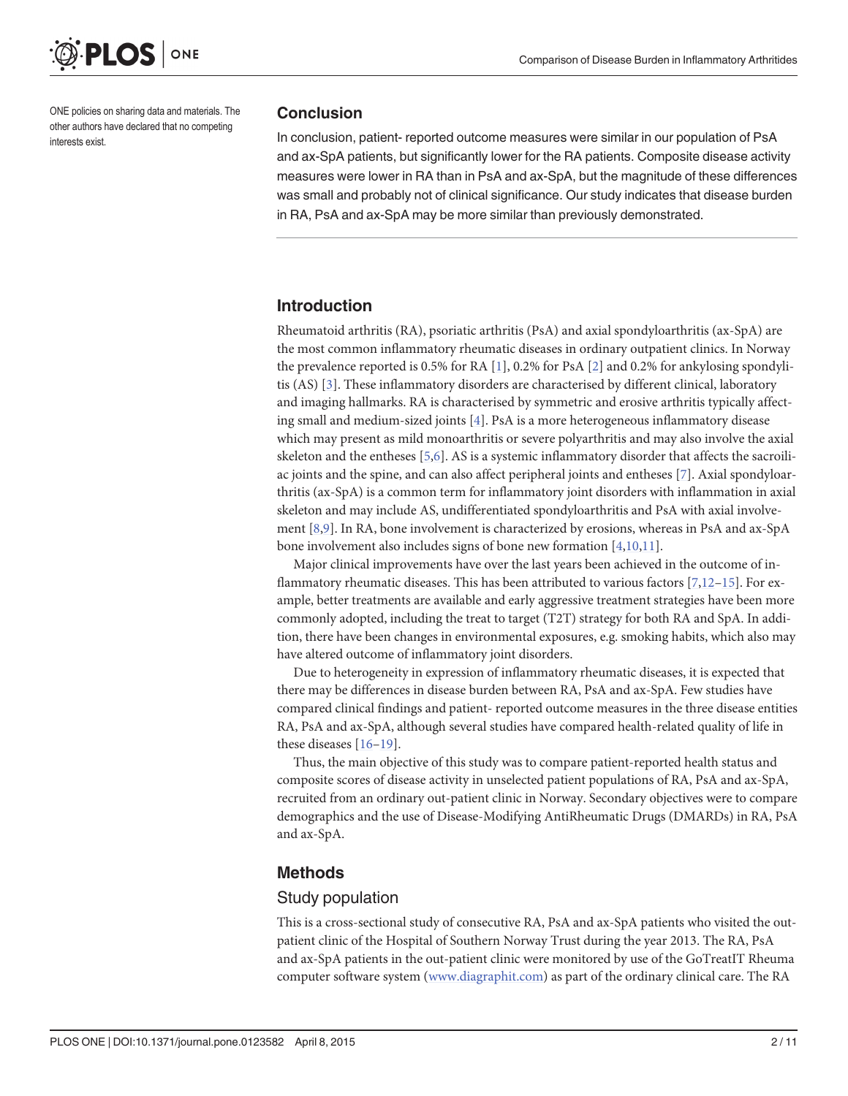<span id="page-1-0"></span>

ONE policies on sharing data and materials. The other authors have declared that no competing interests exist.

#### **Conclusion**

In conclusion, patient- reported outcome measures were similar in our population of PsA and ax-SpA patients, but significantly lower for the RA patients. Composite disease activity measures were lower in RA than in PsA and ax-SpA, but the magnitude of these differences was small and probably not of clinical significance. Our study indicates that disease burden in RA, PsA and ax-SpA may be more similar than previously demonstrated.

# Introduction

Rheumatoid arthritis (RA), psoriatic arthritis (PsA) and axial spondyloarthritis (ax-SpA) are the most common inflammatory rheumatic diseases in ordinary outpatient clinics. In Norway the prevalence reported is 0.5% for RA  $[1]$ , 0.2% for PsA  $[2]$  $[2]$  and 0.2% for ankylosing spondylitis (AS) [[3](#page-8-0)]. These inflammatory disorders are characterised by different clinical, laboratory and imaging hallmarks. RA is characterised by symmetric and erosive arthritis typically affecting small and medium-sized joints [\[4](#page-8-0)]. PsA is a more heterogeneous inflammatory disease which may present as mild monoarthritis or severe polyarthritis and may also involve the axial skeleton and the entheses [\[5,6\]](#page-8-0). AS is a systemic inflammatory disorder that affects the sacroiliac joints and the spine, and can also affect peripheral joints and entheses [\[7](#page-8-0)]. Axial spondyloarthritis (ax-SpA) is a common term for inflammatory joint disorders with inflammation in axial skeleton and may include AS, undifferentiated spondyloarthritis and PsA with axial involvement [\[8,9](#page-8-0)]. In RA, bone involvement is characterized by erosions, whereas in PsA and ax-SpA bone involvement also includes signs of bone new formation  $[4,10,11]$  $[4,10,11]$  $[4,10,11]$  $[4,10,11]$  $[4,10,11]$ .

Major clinical improvements have over the last years been achieved in the outcome of inflammatory rheumatic diseases. This has been attributed to various factors  $[7,12-15]$  $[7,12-15]$  $[7,12-15]$  $[7,12-15]$  $[7,12-15]$  $[7,12-15]$ . For example, better treatments are available and early aggressive treatment strategies have been more commonly adopted, including the treat to target (T2T) strategy for both RA and SpA. In addition, there have been changes in environmental exposures, e.g. smoking habits, which also may have altered outcome of inflammatory joint disorders.

Due to heterogeneity in expression of inflammatory rheumatic diseases, it is expected that there may be differences in disease burden between RA, PsA and ax-SpA. Few studies have compared clinical findings and patient- reported outcome measures in the three disease entities RA, PsA and ax-SpA, although several studies have compared health-related quality of life in these diseases [[16](#page-8-0)–[19\]](#page-9-0).

Thus, the main objective of this study was to compare patient-reported health status and composite scores of disease activity in unselected patient populations of RA, PsA and ax-SpA, recruited from an ordinary out-patient clinic in Norway. Secondary objectives were to compare demographics and the use of Disease-Modifying AntiRheumatic Drugs (DMARDs) in RA, PsA and ax-SpA.

# Methods

## Study population

This is a cross-sectional study of consecutive RA, PsA and ax-SpA patients who visited the outpatient clinic of the Hospital of Southern Norway Trust during the year 2013. The RA, PsA and ax-SpA patients in the out-patient clinic were monitored by use of the GoTreatIT Rheuma computer software system [\(www.diagraphit.com](http://www.diagraphit.com)) as part of the ordinary clinical care. The RA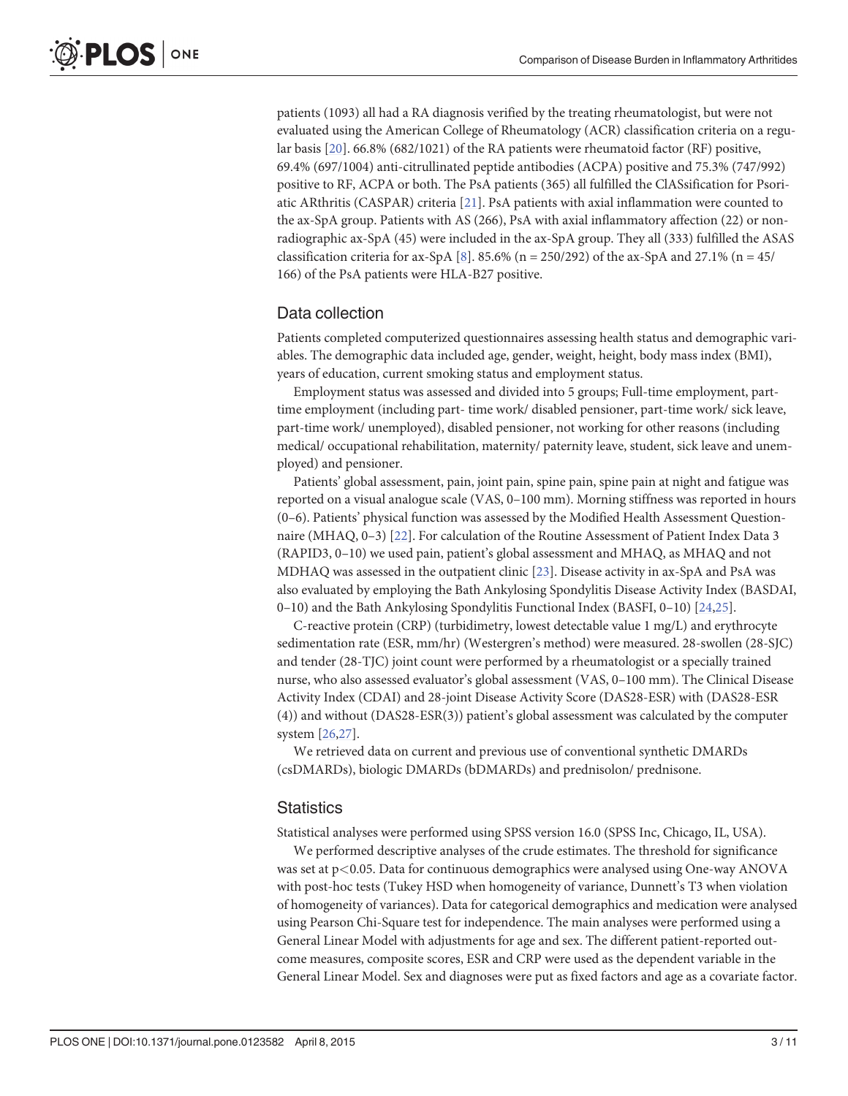<span id="page-2-0"></span>patients (1093) all had a RA diagnosis verified by the treating rheumatologist, but were not evaluated using the American College of Rheumatology (ACR) classification criteria on a regular basis  $[20]$  $[20]$  $[20]$ . 66.8% (682/1021) of the RA patients were rheumatoid factor (RF) positive, 69.4% (697/1004) anti-citrullinated peptide antibodies (ACPA) positive and 75.3% (747/992) positive to RF, ACPA or both. The PsA patients (365) all fulfilled the ClASsification for Psoriatic ARthritis (CASPAR) criteria [\[21\]](#page-9-0). PsA patients with axial inflammation were counted to the ax-SpA group. Patients with AS (266), PsA with axial inflammatory affection (22) or nonradiographic ax-SpA (45) were included in the ax-SpA group. They all (333) fulfilled the ASAS classification criteria for ax-SpA  $[8]$  $[8]$  $[8]$ . 85.6% (n = 250/292) of the ax-SpA and 27.1% (n = 45/ 166) of the PsA patients were HLA-B27 positive.

## Data collection

Patients completed computerized questionnaires assessing health status and demographic variables. The demographic data included age, gender, weight, height, body mass index (BMI), years of education, current smoking status and employment status.

Employment status was assessed and divided into 5 groups; Full-time employment, parttime employment (including part- time work/ disabled pensioner, part-time work/ sick leave, part-time work/ unemployed), disabled pensioner, not working for other reasons (including medical/ occupational rehabilitation, maternity/ paternity leave, student, sick leave and unemployed) and pensioner.

Patients' global assessment, pain, joint pain, spine pain, spine pain at night and fatigue was reported on a visual analogue scale (VAS, 0–100 mm). Morning stiffness was reported in hours (0–6). Patients' physical function was assessed by the Modified Health Assessment Questionnaire (MHAQ, 0–3) [[22](#page-9-0)]. For calculation of the Routine Assessment of Patient Index Data 3 (RAPID3, 0–10) we used pain, patient's global assessment and MHAQ, as MHAQ and not MDHAQ was assessed in the outpatient clinic [\[23\]](#page-9-0). Disease activity in ax-SpA and PsA was also evaluated by employing the Bath Ankylosing Spondylitis Disease Activity Index (BASDAI, 0–10) and the Bath Ankylosing Spondylitis Functional Index (BASFI, 0–10) [[24](#page-9-0),[25](#page-9-0)].

C-reactive protein (CRP) (turbidimetry, lowest detectable value 1 mg/L) and erythrocyte sedimentation rate (ESR, mm/hr) (Westergren's method) were measured. 28-swollen (28-SJC) and tender (28-TJC) joint count were performed by a rheumatologist or a specially trained nurse, who also assessed evaluator's global assessment (VAS, 0–100 mm). The Clinical Disease Activity Index (CDAI) and 28-joint Disease Activity Score (DAS28-ESR) with (DAS28-ESR (4)) and without (DAS28-ESR(3)) patient's global assessment was calculated by the computer system [[26](#page-9-0),[27](#page-9-0)].

We retrieved data on current and previous use of conventional synthetic DMARDs (csDMARDs), biologic DMARDs (bDMARDs) and prednisolon/ prednisone.

## **Statistics**

Statistical analyses were performed using SPSS version 16.0 (SPSS Inc, Chicago, IL, USA).

We performed descriptive analyses of the crude estimates. The threshold for significance was set at p<0.05. Data for continuous demographics were analysed using One-way ANOVA with post-hoc tests (Tukey HSD when homogeneity of variance, Dunnett's T3 when violation of homogeneity of variances). Data for categorical demographics and medication were analysed using Pearson Chi-Square test for independence. The main analyses were performed using a General Linear Model with adjustments for age and sex. The different patient-reported outcome measures, composite scores, ESR and CRP were used as the dependent variable in the General Linear Model. Sex and diagnoses were put as fixed factors and age as a covariate factor.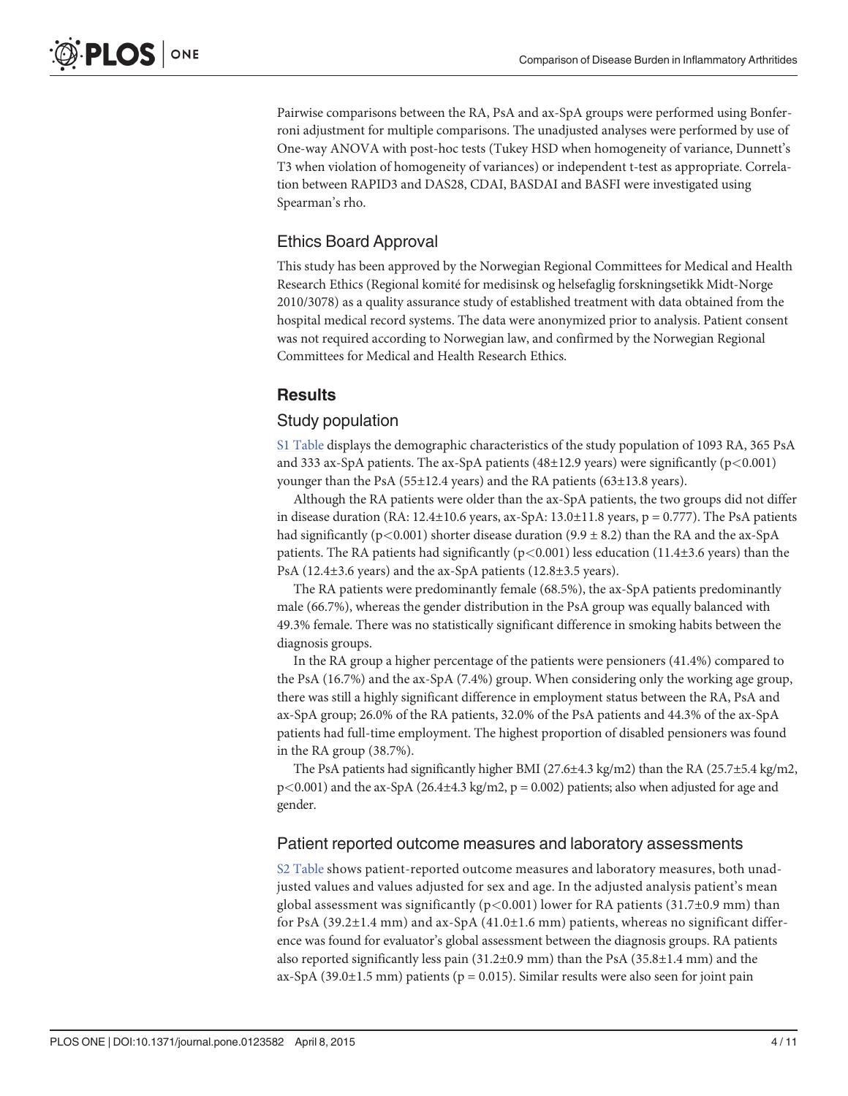Pairwise comparisons between the RA, PsA and ax-SpA groups were performed using Bonferroni adjustment for multiple comparisons. The unadjusted analyses were performed by use of One-way ANOVA with post-hoc tests (Tukey HSD when homogeneity of variance, Dunnett's T3 when violation of homogeneity of variances) or independent t-test as appropriate. Correlation between RAPID3 and DAS28, CDAI, BASDAI and BASFI were investigated using Spearman's rho.

# Ethics Board Approval

This study has been approved by the Norwegian Regional Committees for Medical and Health Research Ethics (Regional komité for medisinsk og helsefaglig forskningsetikk Midt-Norge 2010/3078) as a quality assurance study of established treatment with data obtained from the hospital medical record systems. The data were anonymized prior to analysis. Patient consent was not required according to Norwegian law, and confirmed by the Norwegian Regional Committees for Medical and Health Research Ethics.

## **Results**

#### Study population

[S1 Table](#page-7-0) displays the demographic characteristics of the study population of 1093 RA, 365 PsA and 333 ax-SpA patients. The ax-SpA patients (48±12.9 years) were significantly ( $p$ <0.001) younger than the PsA (55±12.4 years) and the RA patients (63±13.8 years).

Although the RA patients were older than the ax-SpA patients, the two groups did not differ in disease duration (RA:  $12.4\pm10.6$  years, ax-SpA:  $13.0\pm11.8$  years,  $p = 0.777$ ). The PsA patients had significantly (p<0.001) shorter disease duration (9.9  $\pm$  8.2) than the RA and the ax-SpA patients. The RA patients had significantly ( $p$ <0.001) less education (11.4±3.6 years) than the PsA (12.4±3.6 years) and the ax-SpA patients (12.8±3.5 years).

The RA patients were predominantly female (68.5%), the ax-SpA patients predominantly male (66.7%), whereas the gender distribution in the PsA group was equally balanced with 49.3% female. There was no statistically significant difference in smoking habits between the diagnosis groups.

In the RA group a higher percentage of the patients were pensioners (41.4%) compared to the PsA (16.7%) and the ax-SpA (7.4%) group. When considering only the working age group, there was still a highly significant difference in employment status between the RA, PsA and ax-SpA group; 26.0% of the RA patients, 32.0% of the PsA patients and 44.3% of the ax-SpA patients had full-time employment. The highest proportion of disabled pensioners was found in the RA group (38.7%).

The PsA patients had significantly higher BMI (27.6±4.3 kg/m2) than the RA (25.7±5.4 kg/m2,  $p<0.001$ ) and the ax-SpA (26.4±4.3 kg/m2,  $p = 0.002$ ) patients; also when adjusted for age and gender.

#### Patient reported outcome measures and laboratory assessments

[S2 Table](#page-7-0) shows patient-reported outcome measures and laboratory measures, both unadjusted values and values adjusted for sex and age. In the adjusted analysis patient's mean global assessment was significantly ( $p<0.001$ ) lower for RA patients (31.7±0.9 mm) than for PsA (39.2 $\pm$ 1.4 mm) and ax-SpA (41.0 $\pm$ 1.6 mm) patients, whereas no significant difference was found for evaluator's global assessment between the diagnosis groups. RA patients also reported significantly less pain (31.2±0.9 mm) than the PsA (35.8±1.4 mm) and the ax-SpA (39.0 $\pm$ 1.5 mm) patients (p = 0.015). Similar results were also seen for joint pain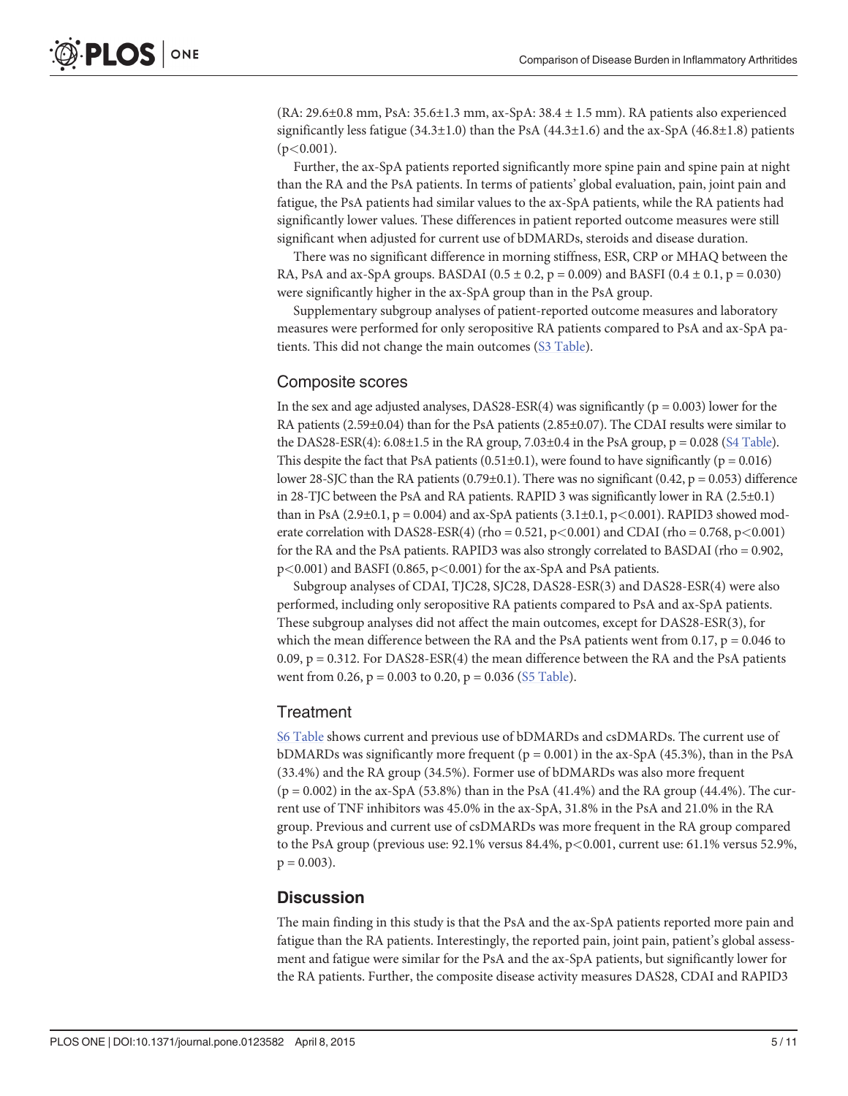(RA: 29.6±0.8 mm, PsA: 35.6±1.3 mm, ax-SpA: 38.4 ± 1.5 mm). RA patients also experienced significantly less fatigue  $(34.3\pm1.0)$  than the PsA  $(44.3\pm1.6)$  and the ax-SpA  $(46.8\pm1.8)$  patients  $(p<0.001)$ .

Further, the ax-SpA patients reported significantly more spine pain and spine pain at night than the RA and the PsA patients. In terms of patients' global evaluation, pain, joint pain and fatigue, the PsA patients had similar values to the ax-SpA patients, while the RA patients had significantly lower values. These differences in patient reported outcome measures were still significant when adjusted for current use of bDMARDs, steroids and disease duration.

There was no significant difference in morning stiffness, ESR, CRP or MHAQ between the RA, PsA and ax-SpA groups. BASDAI ( $0.5 \pm 0.2$ ,  $p = 0.009$ ) and BASFI ( $0.4 \pm 0.1$ ,  $p = 0.030$ ) were significantly higher in the ax-SpA group than in the PsA group.

Supplementary subgroup analyses of patient-reported outcome measures and laboratory measures were performed for only seropositive RA patients compared to PsA and ax-SpA patients. This did not change the main outcomes ([S3 Table\)](#page-7-0).

## Composite scores

In the sex and age adjusted analyses, DAS28-ESR(4) was significantly ( $p = 0.003$ ) lower for the RA patients (2.59±0.04) than for the PsA patients (2.85±0.07). The CDAI results were similar to the DAS28-ESR(4):  $6.08\pm1.5$  in the RA group,  $7.03\pm0.4$  in the PsA group,  $p = 0.028$  [\(S4 Table](#page-7-0)). This despite the fact that PsA patients  $(0.51\pm0.1)$ , were found to have significantly ( $p = 0.016$ ) lower 28-SJC than the RA patients (0.79±0.1). There was no significant (0.42,  $p = 0.053$ ) difference in 28-TJC between the PsA and RA patients. RAPID 3 was significantly lower in RA (2.5±0.1) than in PsA  $(2.9\pm0.1, p = 0.004)$  and ax-SpA patients  $(3.1\pm0.1, p < 0.001)$ . RAPID3 showed moderate correlation with DAS28-ESR(4) (rho =  $0.521$ , p<0.001) and CDAI (rho =  $0.768$ , p<0.001) for the RA and the PsA patients. RAPID3 was also strongly correlated to BASDAI (rho = 0.902, p<0.001) and BASFI (0.865, p<0.001) for the ax-SpA and PsA patients.

Subgroup analyses of CDAI, TJC28, SJC28, DAS28-ESR(3) and DAS28-ESR(4) were also performed, including only seropositive RA patients compared to PsA and ax-SpA patients. These subgroup analyses did not affect the main outcomes, except for DAS28-ESR(3), for which the mean difference between the RA and the PsA patients went from 0.17,  $p = 0.046$  to 0.09,  $p = 0.312$ . For DAS28-ESR(4) the mean difference between the RA and the PsA patients went from 0.26,  $p = 0.003$  to 0.20,  $p = 0.036$  ([S5 Table\)](#page-7-0).

## **Treatment**

[S6 Table](#page-7-0) shows current and previous use of bDMARDs and csDMARDs. The current use of bDMARDs was significantly more frequent ( $p = 0.001$ ) in the ax-SpA (45.3%), than in the PsA (33.4%) and the RA group (34.5%). Former use of bDMARDs was also more frequent  $(p = 0.002)$  in the ax-SpA (53.8%) than in the PsA (41.4%) and the RA group (44.4%). The current use of TNF inhibitors was 45.0% in the ax-SpA, 31.8% in the PsA and 21.0% in the RA group. Previous and current use of csDMARDs was more frequent in the RA group compared to the PsA group (previous use: 92.1% versus 84.4%, p<0.001, current use: 61.1% versus 52.9%,  $p = 0.003$ ).

## **Discussion**

The main finding in this study is that the PsA and the ax-SpA patients reported more pain and fatigue than the RA patients. Interestingly, the reported pain, joint pain, patient's global assessment and fatigue were similar for the PsA and the ax-SpA patients, but significantly lower for the RA patients. Further, the composite disease activity measures DAS28, CDAI and RAPID3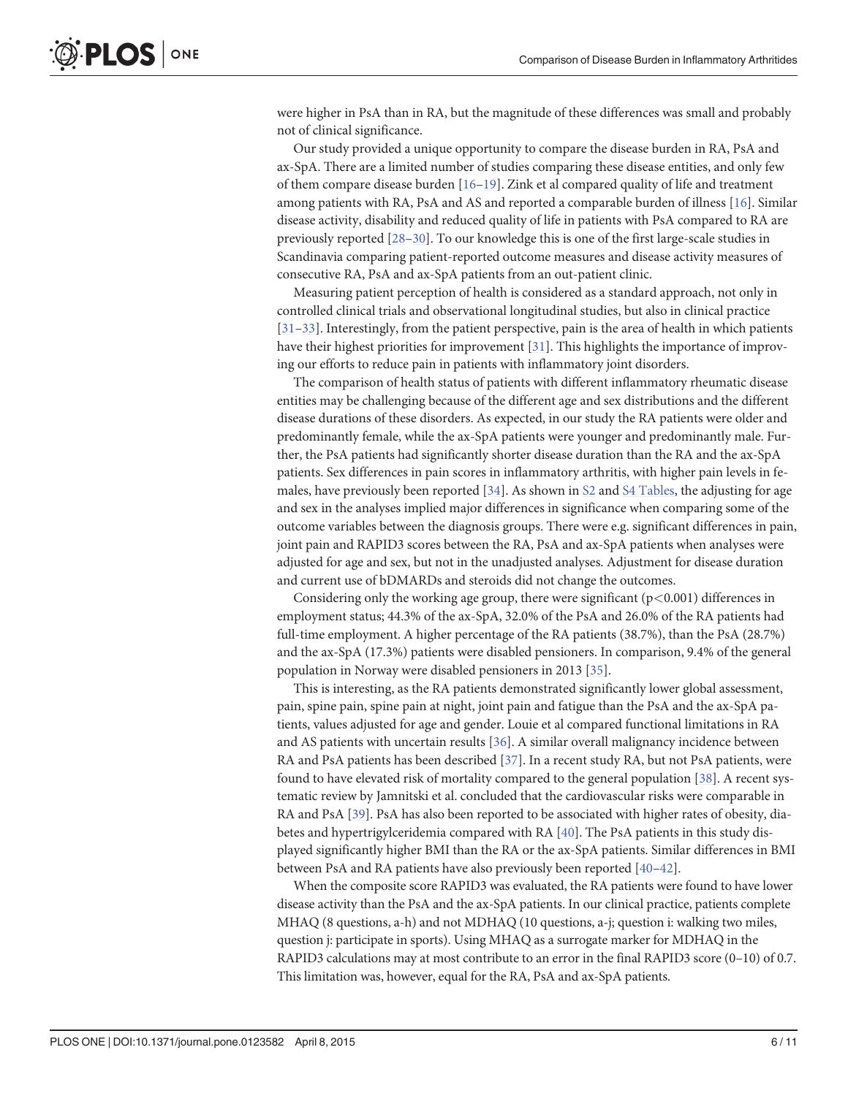<span id="page-5-0"></span>were higher in PsA than in RA, but the magnitude of these differences was small and probably not of clinical significance.

Our study provided a unique opportunity to compare the disease burden in RA, PsA and ax-SpA. There are a limited number of studies comparing these disease entities, and only few of them compare disease burden [\[16](#page-8-0)–[19\]](#page-9-0). Zink et al compared quality of life and treatment among patients with RA, PsA and AS and reported a comparable burden of illness [[16\]](#page-8-0). Similar disease activity, disability and reduced quality of life in patients with PsA compared to RA are previously reported [\[28](#page-9-0)–[30](#page-9-0)]. To our knowledge this is one of the first large-scale studies in Scandinavia comparing patient-reported outcome measures and disease activity measures of consecutive RA, PsA and ax-SpA patients from an out-patient clinic.

Measuring patient perception of health is considered as a standard approach, not only in controlled clinical trials and observational longitudinal studies, but also in clinical practice [\[31](#page-9-0)–[33\]](#page-9-0). Interestingly, from the patient perspective, pain is the area of health in which patients have their highest priorities for improvement [\[31](#page-9-0)]. This highlights the importance of improving our efforts to reduce pain in patients with inflammatory joint disorders.

The comparison of health status of patients with different inflammatory rheumatic disease entities may be challenging because of the different age and sex distributions and the different disease durations of these disorders. As expected, in our study the RA patients were older and predominantly female, while the ax-SpA patients were younger and predominantly male. Further, the PsA patients had significantly shorter disease duration than the RA and the ax-SpA patients. Sex differences in pain scores in inflammatory arthritis, with higher pain levels in females, have previously been reported  $[34]$  $[34]$ . As shown in  $S2$  and  $S4$  Tables, the adjusting for age and sex in the analyses implied major differences in significance when comparing some of the outcome variables between the diagnosis groups. There were e.g. significant differences in pain, joint pain and RAPID3 scores between the RA, PsA and ax-SpA patients when analyses were adjusted for age and sex, but not in the unadjusted analyses. Adjustment for disease duration and current use of bDMARDs and steroids did not change the outcomes.

Considering only the working age group, there were significant  $(p<0.001)$  differences in employment status; 44.3% of the ax-SpA, 32.0% of the PsA and 26.0% of the RA patients had full-time employment. A higher percentage of the RA patients (38.7%), than the PsA (28.7%) and the ax-SpA (17.3%) patients were disabled pensioners. In comparison, 9.4% of the general population in Norway were disabled pensioners in 2013 [\[35\]](#page-9-0).

This is interesting, as the RA patients demonstrated significantly lower global assessment, pain, spine pain, spine pain at night, joint pain and fatigue than the PsA and the ax-SpA patients, values adjusted for age and gender. Louie et al compared functional limitations in RA and AS patients with uncertain results [\[36\]](#page-9-0). A similar overall malignancy incidence between RA and PsA patients has been described [\[37](#page-9-0)]. In a recent study RA, but not PsA patients, were found to have elevated risk of mortality compared to the general population [[38](#page-9-0)]. A recent systematic review by Jamnitski et al. concluded that the cardiovascular risks were comparable in RA and PsA [\[39\]](#page-10-0). PsA has also been reported to be associated with higher rates of obesity, diabetes and hypertrigylceridemia compared with RA [\[40\]](#page-10-0). The PsA patients in this study displayed significantly higher BMI than the RA or the ax-SpA patients. Similar differences in BMI between PsA and RA patients have also previously been reported  $[40-42]$  $[40-42]$  $[40-42]$  $[40-42]$  $[40-42]$ .

When the composite score RAPID3 was evaluated, the RA patients were found to have lower disease activity than the PsA and the ax-SpA patients. In our clinical practice, patients complete MHAQ (8 questions, a-h) and not MDHAQ (10 questions, a-j; question i: walking two miles, question j: participate in sports). Using MHAQ as a surrogate marker for MDHAQ in the RAPID3 calculations may at most contribute to an error in the final RAPID3 score (0–10) of 0.7. This limitation was, however, equal for the RA, PsA and ax-SpA patients.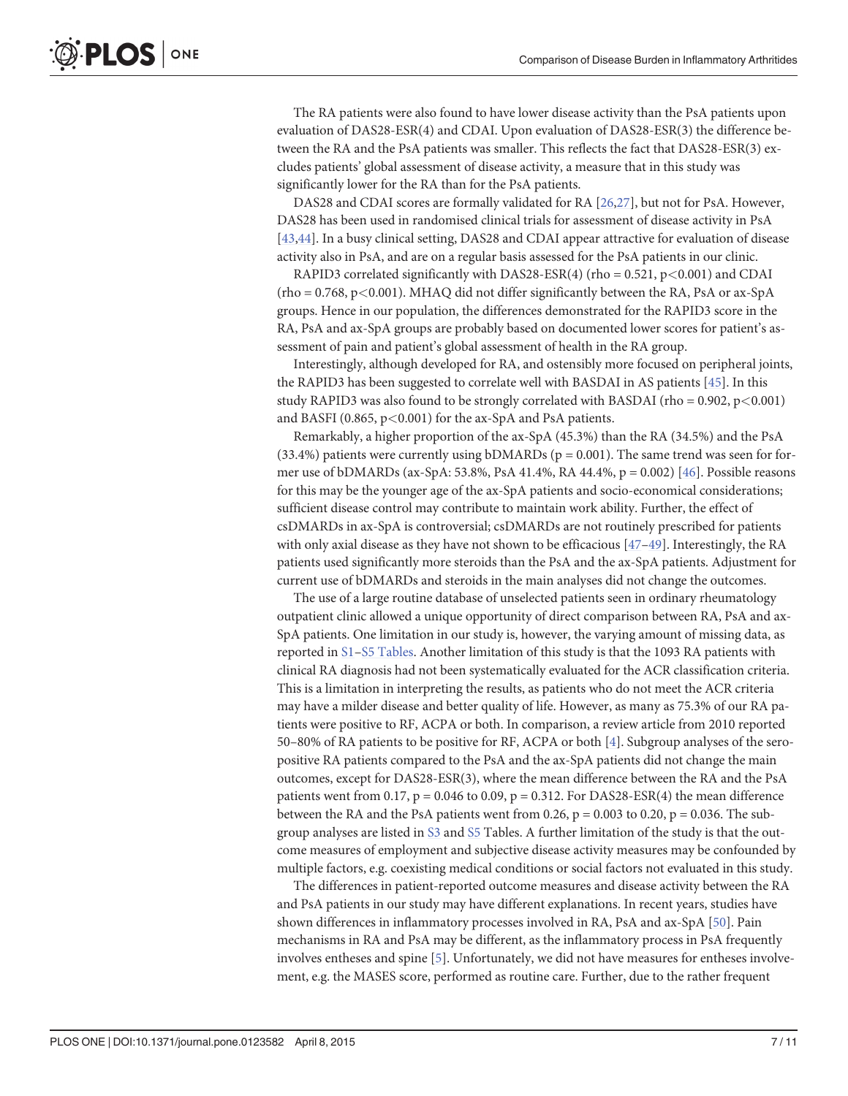<span id="page-6-0"></span>The RA patients were also found to have lower disease activity than the PsA patients upon evaluation of DAS28-ESR(4) and CDAI. Upon evaluation of DAS28-ESR(3) the difference between the RA and the PsA patients was smaller. This reflects the fact that DAS28-ESR(3) excludes patients' global assessment of disease activity, a measure that in this study was significantly lower for the RA than for the PsA patients.

DAS28 and CDAI scores are formally validated for RA [[26,27](#page-9-0)], but not for PsA. However, DAS28 has been used in randomised clinical trials for assessment of disease activity in PsA [\[43,44\]](#page-10-0). In a busy clinical setting, DAS28 and CDAI appear attractive for evaluation of disease activity also in PsA, and are on a regular basis assessed for the PsA patients in our clinic.

RAPID3 correlated significantly with DAS28-ESR(4) (rho =  $0.521$ , p<0.001) and CDAI  $(rho = 0.768, p < 0.001)$ . MHAQ did not differ significantly between the RA, PsA or ax-SpA groups. Hence in our population, the differences demonstrated for the RAPID3 score in the RA, PsA and ax-SpA groups are probably based on documented lower scores for patient's assessment of pain and patient's global assessment of health in the RA group.

Interestingly, although developed for RA, and ostensibly more focused on peripheral joints, the RAPID3 has been suggested to correlate well with BASDAI in AS patients [\[45](#page-10-0)]. In this study RAPID3 was also found to be strongly correlated with BASDAI (rho =  $0.902$ , p $<0.001$ ) and BASFI (0.865, p<0.001) for the ax-SpA and PsA patients.

Remarkably, a higher proportion of the ax-SpA (45.3%) than the RA (34.5%) and the PsA (33.4%) patients were currently using bDMARDs ( $p = 0.001$ ). The same trend was seen for former use of bDMARDs (ax-SpA: 53.8%, PsA 41.4%, RA 44.4%, p = 0.002) [[46\]](#page-10-0). Possible reasons for this may be the younger age of the ax-SpA patients and socio-economical considerations; sufficient disease control may contribute to maintain work ability. Further, the effect of csDMARDs in ax-SpA is controversial; csDMARDs are not routinely prescribed for patients with only axial disease as they have not shown to be efficacious  $[47-49]$  $[47-49]$  $[47-49]$  $[47-49]$ . Interestingly, the RA patients used significantly more steroids than the PsA and the ax-SpA patients. Adjustment for current use of bDMARDs and steroids in the main analyses did not change the outcomes.

The use of a large routine database of unselected patients seen in ordinary rheumatology outpatient clinic allowed a unique opportunity of direct comparison between RA, PsA and ax-SpA patients. One limitation in our study is, however, the varying amount of missing data, as reported in [S1](#page-7-0)–[S5 Tables.](#page-7-0) Another limitation of this study is that the 1093 RA patients with clinical RA diagnosis had not been systematically evaluated for the ACR classification criteria. This is a limitation in interpreting the results, as patients who do not meet the ACR criteria may have a milder disease and better quality of life. However, as many as 75.3% of our RA patients were positive to RF, ACPA or both. In comparison, a review article from 2010 reported 50–80% of RA patients to be positive for RF, ACPA or both [\[4](#page-8-0)]. Subgroup analyses of the seropositive RA patients compared to the PsA and the ax-SpA patients did not change the main outcomes, except for DAS28-ESR(3), where the mean difference between the RA and the PsA patients went from 0.17,  $p = 0.046$  to 0.09,  $p = 0.312$ . For DAS28-ESR(4) the mean difference between the RA and the PsA patients went from 0.26,  $p = 0.003$  to 0.20,  $p = 0.036$ . The subgroup analyses are listed in [S3](#page-7-0) and [S5](#page-7-0) Tables. A further limitation of the study is that the outcome measures of employment and subjective disease activity measures may be confounded by multiple factors, e.g. coexisting medical conditions or social factors not evaluated in this study.

The differences in patient-reported outcome measures and disease activity between the RA and PsA patients in our study may have different explanations. In recent years, studies have shown differences in inflammatory processes involved in RA, PsA and ax-SpA [[50](#page-10-0)]. Pain mechanisms in RA and PsA may be different, as the inflammatory process in PsA frequently involves entheses and spine [\[5](#page-8-0)]. Unfortunately, we did not have measures for entheses involvement, e.g. the MASES score, performed as routine care. Further, due to the rather frequent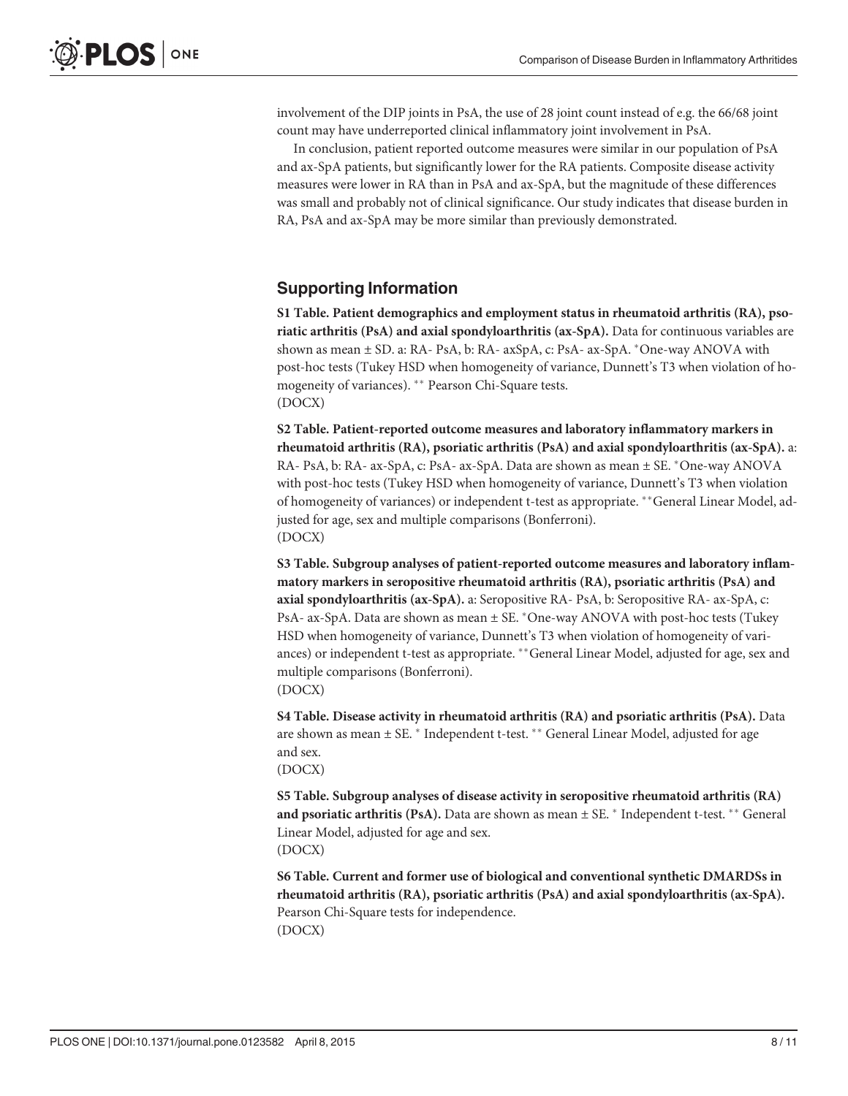<span id="page-7-0"></span>involvement of the DIP joints in PsA, the use of 28 joint count instead of e.g. the 66/68 joint count may have underreported clinical inflammatory joint involvement in PsA.

In conclusion, patient reported outcome measures were similar in our population of PsA and ax-SpA patients, but significantly lower for the RA patients. Composite disease activity measures were lower in RA than in PsA and ax-SpA, but the magnitude of these differences was small and probably not of clinical significance. Our study indicates that disease burden in RA, PsA and ax-SpA may be more similar than previously demonstrated.

# Supporting Information

[S1 Table](http://www.plosone.org/article/fetchSingleRepresentation.action?uri=info:doi/10.1371/journal.pone.0123582.s001). Patient demographics and employment status in rheumatoid arthritis (RA), psoriatic arthritis (PsA) and axial spondyloarthritis (ax-SpA). Data for continuous variables are shown as mean  $\pm$  SD. a: RA- PsA, b: RA- axSpA, c: PsA- ax-SpA.  $*$ One-way ANOVA with post-hoc tests (Tukey HSD when homogeneity of variance, Dunnett's T3 when violation of homogeneity of variances). \*\* Pearson Chi-Square tests. (DOCX)

[S2 Table](http://www.plosone.org/article/fetchSingleRepresentation.action?uri=info:doi/10.1371/journal.pone.0123582.s002). Patient-reported outcome measures and laboratory inflammatory markers in rheumatoid arthritis (RA), psoriatic arthritis (PsA) and axial spondyloarthritis (ax-SpA). a: RA- PsA, b: RA- ax-SpA, c: PsA- ax-SpA. Data are shown as mean  $\pm$  SE. \*One-way ANOVA with post-hoc tests (Tukey HSD when homogeneity of variance, Dunnett's T3 when violation of homogeneity of variances) or independent t-test as appropriate. \*\*General Linear Model, adjusted for age, sex and multiple comparisons (Bonferroni). (DOCX)

[S3 Table](http://www.plosone.org/article/fetchSingleRepresentation.action?uri=info:doi/10.1371/journal.pone.0123582.s003). Subgroup analyses of patient-reported outcome measures and laboratory inflammatory markers in seropositive rheumatoid arthritis (RA), psoriatic arthritis (PsA) and axial spondyloarthritis (ax-SpA). a: Seropositive RA- PsA, b: Seropositive RA- ax-SpA, c: PsA- ax-SpA. Data are shown as mean  $\pm$  SE.  $*$ One-way ANOVA with post-hoc tests (Tukey HSD when homogeneity of variance, Dunnett's T3 when violation of homogeneity of variances) or independent t-test as appropriate. \*\* General Linear Model, adjusted for age, sex and multiple comparisons (Bonferroni). (DOCX)

[S4 Table](http://www.plosone.org/article/fetchSingleRepresentation.action?uri=info:doi/10.1371/journal.pone.0123582.s004). Disease activity in rheumatoid arthritis (RA) and psoriatic arthritis (PsA). Data are shown as mean  $\pm$  SE.  $*$  Independent t-test.  $**$  General Linear Model, adjusted for age and sex. (DOCX)

[S5 Table](http://www.plosone.org/article/fetchSingleRepresentation.action?uri=info:doi/10.1371/journal.pone.0123582.s005). Subgroup analyses of disease activity in seropositive rheumatoid arthritis (RA) and psoriatic arthritis (PsA). Data are shown as mean  $\pm$  SE.  $*$  Independent t-test.  $**$  General Linear Model, adjusted for age and sex. (DOCX)

[S6 Table](http://www.plosone.org/article/fetchSingleRepresentation.action?uri=info:doi/10.1371/journal.pone.0123582.s006). Current and former use of biological and conventional synthetic DMARDSs in rheumatoid arthritis (RA), psoriatic arthritis (PsA) and axial spondyloarthritis (ax-SpA). Pearson Chi-Square tests for independence. (DOCX)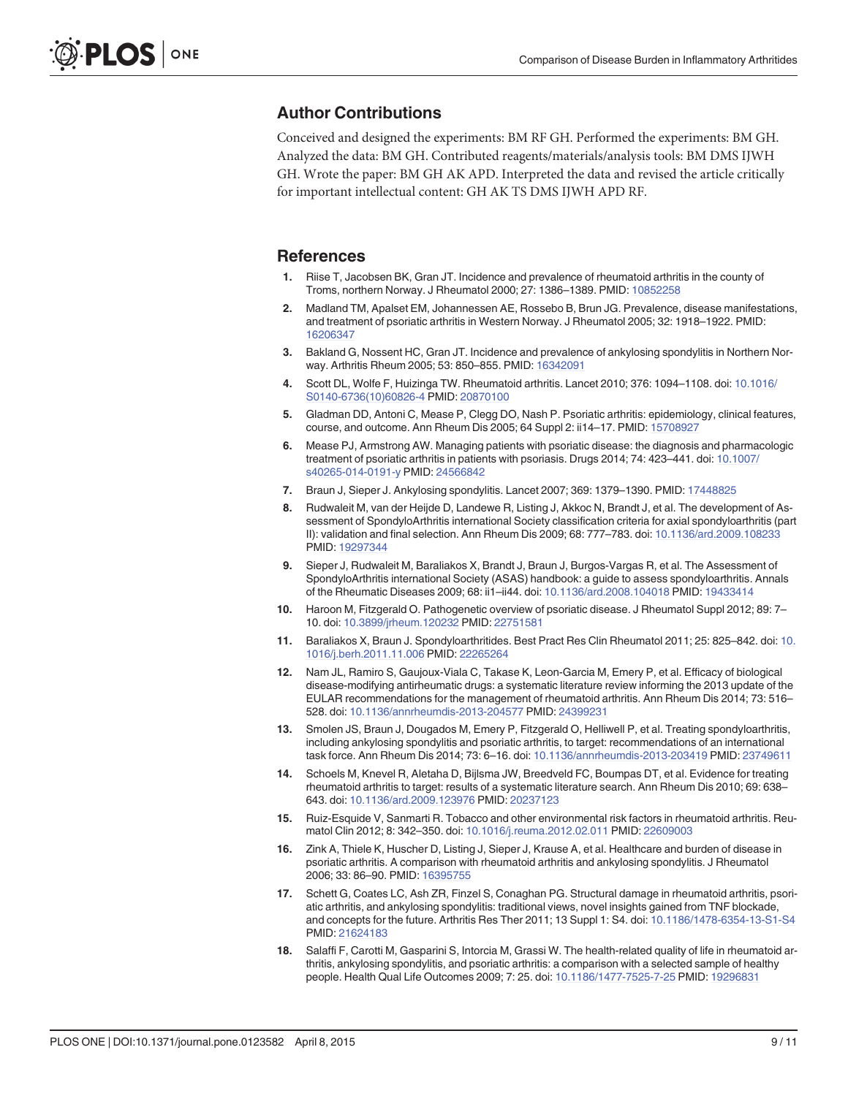# <span id="page-8-0"></span>Author Contributions

Conceived and designed the experiments: BM RF GH. Performed the experiments: BM GH. Analyzed the data: BM GH. Contributed reagents/materials/analysis tools: BM DMS IJWH GH. Wrote the paper: BM GH AK APD. Interpreted the data and revised the article critically for important intellectual content: GH AK TS DMS IJWH APD RF.

#### References

- [1.](#page-1-0) Riise T, Jacobsen BK, Gran JT. Incidence and prevalence of rheumatoid arthritis in the county of Troms, northern Norway. J Rheumatol 2000; 27: 1386–1389. PMID: [10852258](http://www.ncbi.nlm.nih.gov/pubmed/10852258)
- [2.](#page-1-0) Madland TM, Apalset EM, Johannessen AE, Rossebo B, Brun JG. Prevalence, disease manifestations, and treatment of psoriatic arthritis in Western Norway. J Rheumatol 2005; 32: 1918–1922. PMID: [16206347](http://www.ncbi.nlm.nih.gov/pubmed/16206347)
- [3.](#page-1-0) Bakland G, Nossent HC, Gran JT. Incidence and prevalence of ankylosing spondylitis in Northern Norway. Arthritis Rheum 2005; 53: 850–855. PMID: [16342091](http://www.ncbi.nlm.nih.gov/pubmed/16342091)
- [4.](#page-1-0) Scott DL, Wolfe F, Huizinga TW. Rheumatoid arthritis. Lancet 2010; 376: 1094–1108. doi: [10.1016/](http://dx.doi.org/10.1016/S0140-6736(10)60826-4) [S0140-6736\(10\)60826-4](http://dx.doi.org/10.1016/S0140-6736(10)60826-4) PMID: [20870100](http://www.ncbi.nlm.nih.gov/pubmed/20870100)
- [5.](#page-1-0) Gladman DD, Antoni C, Mease P, Clegg DO, Nash P. Psoriatic arthritis: epidemiology, clinical features, course, and outcome. Ann Rheum Dis 2005; 64 Suppl 2: ii14-17. PMID: [15708927](http://www.ncbi.nlm.nih.gov/pubmed/15708927)
- [6.](#page-1-0) Mease PJ, Armstrong AW. Managing patients with psoriatic disease: the diagnosis and pharmacologic treatment of psoriatic arthritis in patients with psoriasis. Drugs 2014; 74: 423–441. doi: [10.1007/](http://dx.doi.org/10.1007/s40265-014-0191-y) [s40265-014-0191-y](http://dx.doi.org/10.1007/s40265-014-0191-y) PMID: [24566842](http://www.ncbi.nlm.nih.gov/pubmed/24566842)
- [7.](#page-1-0) Braun J, Sieper J. Ankylosing spondylitis. Lancet 2007; 369: 1379–1390. PMID: [17448825](http://www.ncbi.nlm.nih.gov/pubmed/17448825)
- [8.](#page-1-0) Rudwaleit M, van der Heijde D, Landewe R, Listing J, Akkoc N, Brandt J, et al. The development of Assessment of SpondyloArthritis international Society classification criteria for axial spondyloarthritis (part II): validation and final selection. Ann Rheum Dis 2009; 68: 777–783. doi: [10.1136/ard.2009.108233](http://dx.doi.org/10.1136/ard.2009.108233) PMID: [19297344](http://www.ncbi.nlm.nih.gov/pubmed/19297344)
- [9.](#page-1-0) Sieper J, Rudwaleit M, Baraliakos X, Brandt J, Braun J, Burgos-Vargas R, et al. The Assessment of SpondyloArthritis international Society (ASAS) handbook: a guide to assess spondyloarthritis. Annals of the Rheumatic Diseases 2009; 68: ii1–ii44. doi: [10.1136/ard.2008.104018](http://dx.doi.org/10.1136/ard.2008.104018) PMID: [19433414](http://www.ncbi.nlm.nih.gov/pubmed/19433414)
- [10.](#page-1-0) Haroon M, Fitzgerald O. Pathogenetic overview of psoriatic disease. J Rheumatol Suppl 2012; 89: 7– 10. doi: [10.3899/jrheum.120232](http://dx.doi.org/10.3899/jrheum.120232) PMID: [22751581](http://www.ncbi.nlm.nih.gov/pubmed/22751581)
- [11.](#page-1-0) Baraliakos X, Braun J. Spondyloarthritides. Best Pract Res Clin Rheumatol 2011; 25: 825–842. doi: [10.](http://dx.doi.org/10.1016/j.berh.2011.11.006) [1016/j.berh.2011.11.006](http://dx.doi.org/10.1016/j.berh.2011.11.006) PMID: [22265264](http://www.ncbi.nlm.nih.gov/pubmed/22265264)
- [12.](#page-1-0) Nam JL, Ramiro S, Gaujoux-Viala C, Takase K, Leon-Garcia M, Emery P, et al. Efficacy of biological disease-modifying antirheumatic drugs: a systematic literature review informing the 2013 update of the EULAR recommendations for the management of rheumatoid arthritis. Ann Rheum Dis 2014; 73: 516– 528. doi: [10.1136/annrheumdis-2013-204577](http://dx.doi.org/10.1136/annrheumdis-2013-204577) PMID: [24399231](http://www.ncbi.nlm.nih.gov/pubmed/24399231)
- 13. Smolen JS, Braun J, Dougados M, Emery P, Fitzgerald O, Helliwell P, et al. Treating spondyloarthritis, including ankylosing spondylitis and psoriatic arthritis, to target: recommendations of an international task force. Ann Rheum Dis 2014; 73: 6–16. doi: [10.1136/annrheumdis-2013-203419](http://dx.doi.org/10.1136/annrheumdis-2013-203419) PMID: [23749611](http://www.ncbi.nlm.nih.gov/pubmed/23749611)
- 14. Schoels M, Knevel R, Aletaha D, Bijlsma JW, Breedveld FC, Boumpas DT, et al. Evidence for treating rheumatoid arthritis to target: results of a systematic literature search. Ann Rheum Dis 2010; 69: 638– 643. doi: [10.1136/ard.2009.123976](http://dx.doi.org/10.1136/ard.2009.123976) PMID: [20237123](http://www.ncbi.nlm.nih.gov/pubmed/20237123)
- [15.](#page-1-0) Ruiz-Esquide V, Sanmarti R. Tobacco and other environmental risk factors in rheumatoid arthritis. Reumatol Clin 2012; 8: 342–350. doi: [10.1016/j.reuma.2012.02.011](http://dx.doi.org/10.1016/j.reuma.2012.02.011) PMID: [22609003](http://www.ncbi.nlm.nih.gov/pubmed/22609003)
- [16.](#page-1-0) Zink A, Thiele K, Huscher D, Listing J, Sieper J, Krause A, et al. Healthcare and burden of disease in psoriatic arthritis. A comparison with rheumatoid arthritis and ankylosing spondylitis. J Rheumatol 2006; 33: 86–90. PMID: [16395755](http://www.ncbi.nlm.nih.gov/pubmed/16395755)
- 17. Schett G, Coates LC, Ash ZR, Finzel S, Conaghan PG. Structural damage in rheumatoid arthritis, psoriatic arthritis, and ankylosing spondylitis: traditional views, novel insights gained from TNF blockade, and concepts for the future. Arthritis Res Ther 2011; 13 Suppl 1: S4. doi: [10.1186/1478-6354-13-S1-S4](http://dx.doi.org/10.1186/1478-6354-13-S1-S4) PMID: [21624183](http://www.ncbi.nlm.nih.gov/pubmed/21624183)
- 18. Salaffi F, Carotti M, Gasparini S, Intorcia M, Grassi W. The health-related quality of life in rheumatoid arthritis, ankylosing spondylitis, and psoriatic arthritis: a comparison with a selected sample of healthy people. Health Qual Life Outcomes 2009; 7: 25. doi: [10.1186/1477-7525-7-25](http://dx.doi.org/10.1186/1477-7525-7-25) PMID: [19296831](http://www.ncbi.nlm.nih.gov/pubmed/19296831)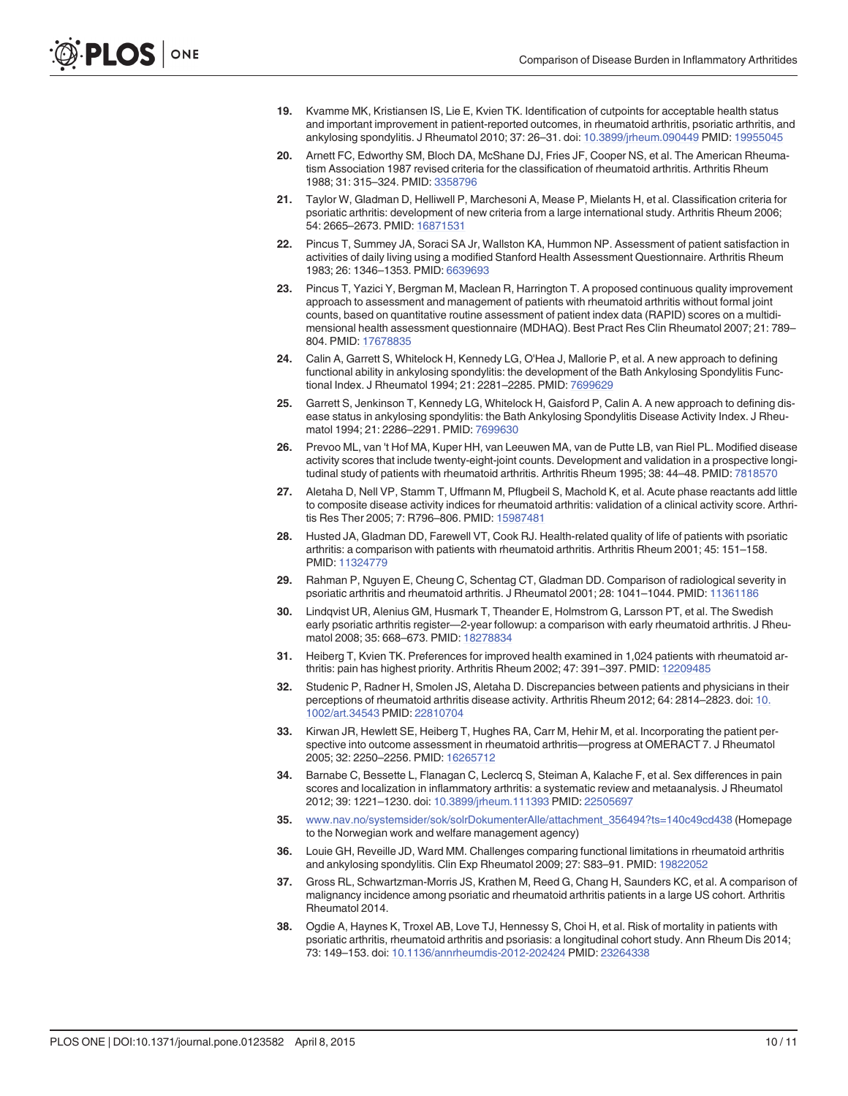- <span id="page-9-0"></span>[19.](#page-1-0) Kvamme MK, Kristiansen IS, Lie E, Kvien TK. Identification of cutpoints for acceptable health status and important improvement in patient-reported outcomes, in rheumatoid arthritis, psoriatic arthritis, and ankylosing spondylitis. J Rheumatol 2010; 37: 26–31. doi: [10.3899/jrheum.090449](http://dx.doi.org/10.3899/jrheum.090449) PMID: [19955045](http://www.ncbi.nlm.nih.gov/pubmed/19955045)
- [20.](#page-2-0) Arnett FC, Edworthy SM, Bloch DA, McShane DJ, Fries JF, Cooper NS, et al. The American Rheumatism Association 1987 revised criteria for the classification of rheumatoid arthritis. Arthritis Rheum 1988; 31: 315–324. PMID: [3358796](http://www.ncbi.nlm.nih.gov/pubmed/3358796)
- [21.](#page-2-0) Taylor W, Gladman D, Helliwell P, Marchesoni A, Mease P, Mielants H, et al. Classification criteria for psoriatic arthritis: development of new criteria from a large international study. Arthritis Rheum 2006; 54: 2665–2673. PMID: [16871531](http://www.ncbi.nlm.nih.gov/pubmed/16871531)
- [22.](#page-2-0) Pincus T, Summey JA, Soraci SA Jr, Wallston KA, Hummon NP. Assessment of patient satisfaction in activities of daily living using a modified Stanford Health Assessment Questionnaire. Arthritis Rheum 1983; 26: 1346–1353. PMID: [6639693](http://www.ncbi.nlm.nih.gov/pubmed/6639693)
- [23.](#page-2-0) Pincus T, Yazici Y, Bergman M, Maclean R, Harrington T. A proposed continuous quality improvement approach to assessment and management of patients with rheumatoid arthritis without formal joint counts, based on quantitative routine assessment of patient index data (RAPID) scores on a multidimensional health assessment questionnaire (MDHAQ). Best Pract Res Clin Rheumatol 2007; 21: 789– 804. PMID: [17678835](http://www.ncbi.nlm.nih.gov/pubmed/17678835)
- [24.](#page-2-0) Calin A, Garrett S, Whitelock H, Kennedy LG, O'Hea J, Mallorie P, et al. A new approach to defining functional ability in ankylosing spondylitis: the development of the Bath Ankylosing Spondylitis Functional Index. J Rheumatol 1994; 21: 2281–2285. PMID: [7699629](http://www.ncbi.nlm.nih.gov/pubmed/7699629)
- [25.](#page-2-0) Garrett S, Jenkinson T, Kennedy LG, Whitelock H, Gaisford P, Calin A. A new approach to defining disease status in ankylosing spondylitis: the Bath Ankylosing Spondylitis Disease Activity Index. J Rheumatol 1994; 21: 2286–2291. PMID: [7699630](http://www.ncbi.nlm.nih.gov/pubmed/7699630)
- [26.](#page-2-0) Prevoo ML, van 't Hof MA, Kuper HH, van Leeuwen MA, van de Putte LB, van Riel PL. Modified disease activity scores that include twenty-eight-joint counts. Development and validation in a prospective longi-tudinal study of patients with rheumatoid arthritis. Arthritis Rheum 1995; 38: 44-48. PMID: [7818570](http://www.ncbi.nlm.nih.gov/pubmed/7818570)
- [27.](#page-2-0) Aletaha D, Nell VP, Stamm T, Uffmann M, Pflugbeil S, Machold K, et al. Acute phase reactants add little to composite disease activity indices for rheumatoid arthritis: validation of a clinical activity score. Arthritis Res Ther 2005; 7: R796–806. PMID: [15987481](http://www.ncbi.nlm.nih.gov/pubmed/15987481)
- [28.](#page-5-0) Husted JA, Gladman DD, Farewell VT, Cook RJ. Health-related quality of life of patients with psoriatic arthritis: a comparison with patients with rheumatoid arthritis. Arthritis Rheum 2001; 45: 151–158. PMID: [11324779](http://www.ncbi.nlm.nih.gov/pubmed/11324779)
- 29. Rahman P, Nguyen E, Cheung C, Schentag CT, Gladman DD. Comparison of radiological severity in psoriatic arthritis and rheumatoid arthritis. J Rheumatol 2001; 28: 1041-1044. PMID: [11361186](http://www.ncbi.nlm.nih.gov/pubmed/11361186)
- [30.](#page-5-0) Lindqvist UR, Alenius GM, Husmark T, Theander E, Holmstrom G, Larsson PT, et al. The Swedish early psoriatic arthritis register—2-year followup: a comparison with early rheumatoid arthritis. J Rheumatol 2008; 35: 668–673. PMID: [18278834](http://www.ncbi.nlm.nih.gov/pubmed/18278834)
- [31.](#page-5-0) Heiberg T, Kvien TK. Preferences for improved health examined in 1,024 patients with rheumatoid arthritis: pain has highest priority. Arthritis Rheum 2002; 47: 391–397. PMID: [12209485](http://www.ncbi.nlm.nih.gov/pubmed/12209485)
- 32. Studenic P, Radner H, Smolen JS, Aletaha D. Discrepancies between patients and physicians in their perceptions of rheumatoid arthritis disease activity. Arthritis Rheum 2012; 64: 2814–2823. doi: [10.](http://dx.doi.org/10.1002/art.34543) [1002/art.34543](http://dx.doi.org/10.1002/art.34543) PMID: [22810704](http://www.ncbi.nlm.nih.gov/pubmed/22810704)
- [33.](#page-5-0) Kirwan JR, Hewlett SE, Heiberg T, Hughes RA, Carr M, Hehir M, et al. Incorporating the patient perspective into outcome assessment in rheumatoid arthritis—progress at OMERACT 7. J Rheumatol 2005; 32: 2250–2256. PMID: [16265712](http://www.ncbi.nlm.nih.gov/pubmed/16265712)
- [34.](#page-5-0) Barnabe C, Bessette L, Flanagan C, Leclercq S, Steiman A, Kalache F, et al. Sex differences in pain scores and localization in inflammatory arthritis: a systematic review and metaanalysis. J Rheumatol 2012; 39: 1221–1230. doi: [10.3899/jrheum.111393](http://dx.doi.org/10.3899/jrheum.111393) PMID: [22505697](http://www.ncbi.nlm.nih.gov/pubmed/22505697)
- [35.](#page-5-0) [www.nav.no/systemsider/sok/solrDokumenterAlle/attachment\\_356494?ts=140c49cd438](http://www.nav.no/systemsider/sok/solrDokumenterAlle/attachment_356494?ts=140c49cd438) (Homepage to the Norwegian work and welfare management agency)
- [36.](#page-5-0) Louie GH, Reveille JD, Ward MM. Challenges comparing functional limitations in rheumatoid arthritis and ankylosing spondylitis. Clin Exp Rheumatol 2009; 27: S83–91. PMID: [19822052](http://www.ncbi.nlm.nih.gov/pubmed/19822052)
- [37.](#page-5-0) Gross RL, Schwartzman-Morris JS, Krathen M, Reed G, Chang H, Saunders KC, et al. A comparison of malignancy incidence among psoriatic and rheumatoid arthritis patients in a large US cohort. Arthritis Rheumatol 2014.
- [38.](#page-5-0) Ogdie A, Haynes K, Troxel AB, Love TJ, Hennessy S, Choi H, et al. Risk of mortality in patients with psoriatic arthritis, rheumatoid arthritis and psoriasis: a longitudinal cohort study. Ann Rheum Dis 2014; 73: 149–153. doi: [10.1136/annrheumdis-2012-202424](http://dx.doi.org/10.1136/annrheumdis-2012-202424) PMID: [23264338](http://www.ncbi.nlm.nih.gov/pubmed/23264338)